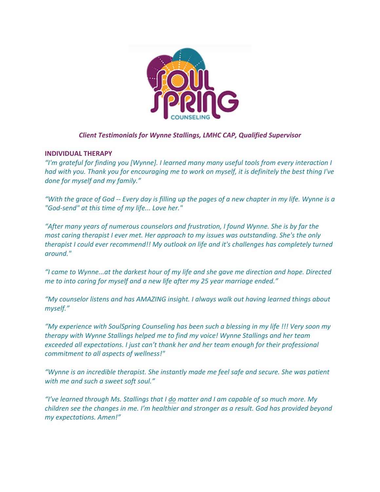

# *Client Testimonials for Wynne Stallings, LMHC CAP, Qualified Supervisor*

## **INDIVIDUAL THERAPY**

*"I'm grateful for finding you [Wynne]. I learned many many useful tools from every interaction I* had with you. Thank you for encouraging me to work on myself, it is definitely the best thing I've *done for myself and my family."*

"With the grace of God -- Every day is filling up the pages of a new chapter in my life. Wynne is a *"God-send" at this time of my life... Love her."*

*"After many years of numerous counselors and frustration, I found Wynne. She is by far the most caring therapist I ever met. Her approach to my issues was outstanding. She's the only therapist I could ever recommend!! My outlook on life and it's challenges has completely turned around."*

*"I came to Wynne...at the darkest hour of my life and she gave me direction and hope. Directed me to into caring for myself and a new life after my 25 year marriage ended."*

*"My counselor listens and has AMAZING insight. I always walk out having learned things about myself."*

*"My experience with SoulSpring Counseling has been such a blessing in my life !!! Very soon my therapy with Wynne Stallings helped me to find my voice! Wynne Stallings and her team exceeded all expectations. I just can't thank her and her team enough for their professional commitment to all aspects of wellness!"*

*"Wynne is an incredible therapist. She instantly made me feel safe and secure. She was patient with me and such a sweet soft soul."*

*"I've learned through Ms. Stallings that I do matter and I am capable of so much more. My children see the changes in me. I'm healthier and stronger as a result. God has provided beyond my expectations. Amen!"*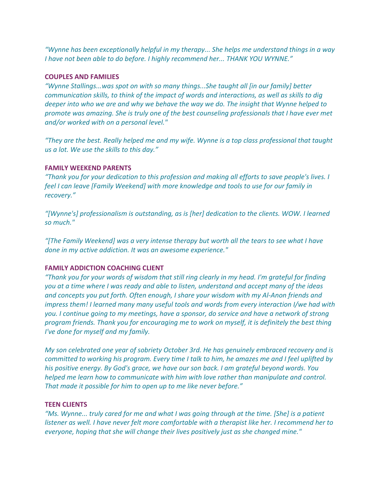*"Wynne has been exceptionally helpful in my therapy... She helps me understand things in a way I have not been able to do before. I highly recommend her... THANK YOU WYNNE."*

#### **COUPLES AND FAMILIES**

*"Wynne Stallings...was spot on with so many things...She taught all [in our family] better communication skills, to think of the impact of words and interactions, as well as skills to dig deeper into who we are and why we behave the way we do. The insight that Wynne helped to promote was amazing. She is truly one of the best counseling professionals that I have ever met and/or worked with on a personal level."*

*"They are the best. Really helped me and my wife. Wynne is a top class professional that taught us a lot. We use the skills to this day."*

## **FAMILY WEEKEND PARENTS**

*"Thank you for your dedication to this profession and making all efforts to save people's lives. I feel I can leave [Family Weekend] with more knowledge and tools to use for our family in recovery."*

*"[Wynne's] professionalism is outstanding, as is [her] dedication to the clients. WOW. I learned so much."*

*"[The Family Weekend] was a very intense therapy but worth all the tears to see what I have done in my active addiction. It was an awesome experience."*

# **FAMILY ADDICTION COACHING CLIENT**

*"Thank you for your words of wisdom that still ring clearly in my head. I'm grateful for finding you at a time where I was ready and able to listen, understand and accept many of the ideas and concepts you put forth. Often enough, I share your wisdom with my Al-Anon friends and impress them! I learned many many useful tools and words from every interaction I/we had with you. I continue going to my meetings, have a sponsor, do service and have a network of strong program friends. Thank you for encouraging me to work on myself, it is definitely the best thing I've done for myself and my family.*

*My son celebrated one year of sobriety October 3rd. He has genuinely embraced recovery and is* committed to working his program. Every time I talk to him, he amazes me and I feel uplifted by *his positive energy. By God's grace, we have our son back. I am grateful beyond words. You helped me learn how to communicate with him with love rather than manipulate and control. That made it possible for him to open up to me like never before."*

#### **TEEN CLIENTS**

"Ms. Wynne... truly cared for me and what I was going through at the time. [She] is a patient *listener as well. I have never felt more comfortable with a therapist like her. I recommend her to everyone, hoping that she will change their lives positively just as she changed mine."*